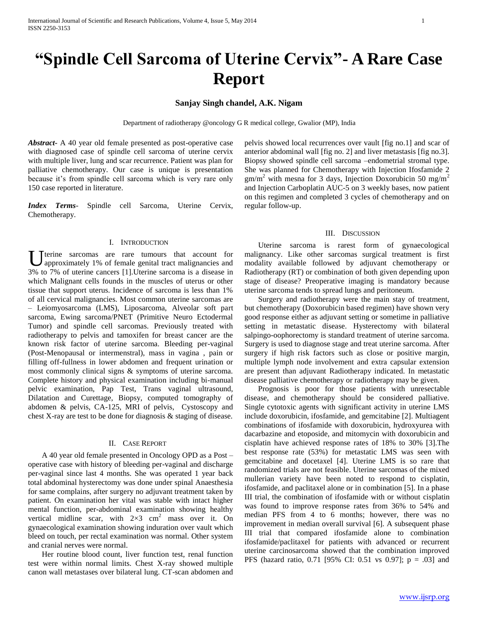# **"Spindle Cell Sarcoma of Uterine Cervix"- A Rare Case Report**

## **Sanjay Singh chandel, A.K. Nigam**

Department of radiotherapy @oncology G R medical college, Gwalior (MP), India

*Abstract***-** A 40 year old female presented as post-operative case with diagnosed case of spindle cell sarcoma of uterine cervix with multiple liver, lung and scar recurrence. Patient was plan for palliative chemotherapy. Our case is unique is presentation because it's from spindle cell sarcoma which is very rare only 150 case reported in literature.

*Index Terms*- Spindle cell Sarcoma, Uterine Cervix, Chemotherapy.

## I. INTRODUCTION

U terine sarcomas are rare tumours that account for approximately 1% of female genital tract malignancies and approximately 1% of female genital tract malignancies and 3% to 7% of uterine cancers [1].Uterine sarcoma is a disease in which Malignant cells founds in the muscles of uterus or other tissue that support uterus. Incidence of sarcoma is less than 1% of all cervical malignancies. Most common uterine sarcomas are – Leiomyosarcoma (LMS), Liposarcoma, Alveolar soft part sarcoma, Ewing sarcoma/PNET (Primitive Neuro Ectodermal Tumor) and spindle cell sarcomas. Previously treated with radiotherapy to pelvis and tamoxifen for breast cancer are the known risk factor of uterine sarcoma. Bleeding per-vaginal (Post-Menopausal or intermenstral), mass in vagina , pain or filling off-fullness in lower abdomen and frequent urination or most commonly clinical signs & symptoms of uterine sarcoma. Complete history and physical examination including bi-manual pelvic examination, Pap Test, Trans vaginal ultrasound, Dilatation and Curettage, Biopsy, computed tomography of abdomen & pelvis, CA-125, MRI of pelvis, Cystoscopy and chest X-ray are test to be done for diagnosis & staging of disease.

## II. CASE REPORT

 A 40 year old female presented in Oncology OPD as a Post – operative case with history of bleeding per-vaginal and discharge per-vaginal since last 4 months. She was operated 1 year back total abdominal hysterectomy was done under spinal Anaesthesia for same complains, after surgery no adjuvant treatment taken by patient. On examination her vital was stable with intact higher mental function, per-abdominal examination showing healthy vertical midline scar, with  $2\times3$  cm<sup>2</sup> mass over it. On gynaecological examination showing induration over vault which bleed on touch, per rectal examination was normal. Other system and cranial nerves were normal.

 Her routine blood count, liver function test, renal function test were within normal limits. Chest X-ray showed multiple canon wall metastases over bilateral lung. CT-scan abdomen and pelvis showed local recurrences over vault [fig no.1] and scar of anterior abdominal wall [fig no. 2] and liver metastasis [fig no.3]. Biopsy showed spindle cell sarcoma –endometrial stromal type. She was planned for Chemotherapy with Injection Ifosfamide 2  $gm/m<sup>2</sup>$  with mesna for 3 days, Injection Doxorubicin 50 mg/m<sup>2</sup> and Injection Carboplatin AUC-5 on 3 weekly bases, now patient on this regimen and completed 3 cycles of chemotherapy and on regular follow-up.

### III. DISCUSSION

 Uterine sarcoma is rarest form of gynaecological malignancy. Like other sarcomas surgical treatment is first modality available followed by adjuvant chemotherapy or Radiotherapy (RT) or combination of both given depending upon stage of disease? Preoperative imaging is mandatory because uterine sarcoma tends to spread lungs and peritoneum.

 Surgery and radiotherapy were the main stay of treatment, but chemotherapy (Doxorubicin based regimen) have shown very good response either as adjuvant setting or sometime in palliative setting in metastatic disease. Hysterectomy with bilateral salpingo-oophorectomy is standard treatment of uterine sarcoma. Surgery is used to diagnose stage and treat uterine sarcoma. After surgery if high risk factors such as close or positive margin, multiple lymph node involvement and extra capsular extension are present than adjuvant Radiotherapy indicated. In metastatic disease palliative chemotherapy or radiotherapy may be given.

 Prognosis is poor for those patients with unresectable disease, and chemotherapy should be considered palliative. Single cytotoxic agents with significant activity in uterine LMS include doxorubicin, ifosfamide, and gemcitabine [2]. Multiagent combinations of ifosfamide with doxorubicin, hydroxyurea with dacarbazine and etoposide, and mitomycin with doxorubicin and cisplatin have achieved response rates of 18% to 30% [3].The best response rate (53%) for metastatic LMS was seen with gemcitabine and docetaxel [4]. Uterine LMS is so rare that randomized trials are not feasible. Uterine sarcomas of the mixed mullerian variety have been noted to respond to cisplatin, ifosfamide, and paclitaxel alone or in combination [5]. In a phase III trial, the combination of ifosfamide with or without cisplatin was found to improve response rates from 36% to 54% and median PFS from 4 to 6 months; however, there was no improvement in median overall survival [6]. A subsequent phase III trial that compared ifosfamide alone to combination ifosfamide/paclitaxel for patients with advanced or recurrent uterine carcinosarcoma showed that the combination improved PFS (hazard ratio, 0.71 [95% CI: 0.51 vs 0.97]; p = .03] and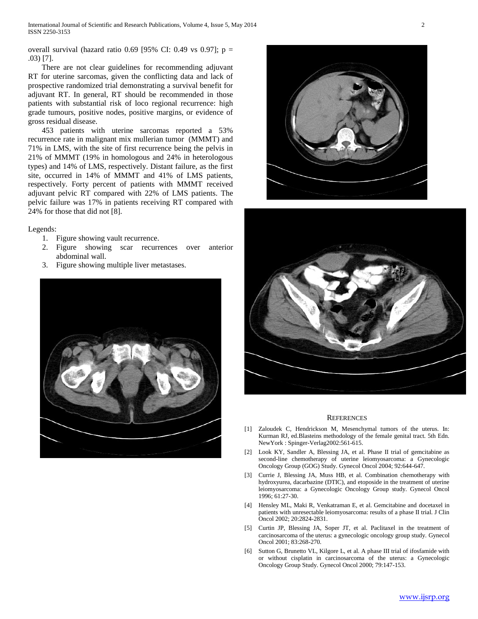overall survival (hazard ratio 0.69 [95% CI: 0.49 vs 0.97];  $p =$ .03) [7].

 There are not clear guidelines for recommending adjuvant RT for uterine sarcomas, given the conflicting data and lack of prospective randomized trial demonstrating a survival benefit for adjuvant RT. In general, RT should be recommended in those patients with substantial risk of loco regional recurrence: high grade tumours, positive nodes, positive margins, or evidence of gross residual disease.

 453 patients with uterine sarcomas reported a 53% recurrence rate in malignant mix mullerian tumor (MMMT) and 71% in LMS, with the site of first recurrence being the pelvis in 21% of MMMT (19% in homologous and 24% in heterologous types) and 14% of LMS, respectively. Distant failure, as the first site, occurred in 14% of MMMT and 41% of LMS patients, respectively. Forty percent of patients with MMMT received adjuvant pelvic RT compared with 22% of LMS patients. The pelvic failure was 17% in patients receiving RT compared with 24% for those that did not [8].

## Legends:

- 1. Figure showing vault recurrence.
- 2. Figure showing scar recurrences over anterior abdominal wall.
- 3. Figure showing multiple liver metastases.







#### **REFERENCES**

- [1] Zaloudek C, Hendrickson M, Mesenchymal tumors of the uterus. In: Kurman RJ, ed.Blasteins methodology of the female genital tract. 5th Edn. NewYork : Spinger-Verlag2002:561-615.
- [2] Look KY, Sandler A, Blessing JA, et al. Phase II trial of gemcitabine as second-line chemotherapy of uterine leiomyosarcoma: a Gynecologic Oncology Group (GOG) Study. Gynecol Oncol 2004; 92:644-647.
- [3] Currie J, Blessing JA, Muss HB, et al. Combination chemotherapy with hydroxyurea, dacarbazine (DTIC), and etoposide in the treatment of uterine leiomyosarcoma: a Gynecologic Oncology Group study. Gynecol Oncol 1996; 61:27-30.
- [4] Hensley ML, Maki R, Venkatraman E, et al. Gemcitabine and docetaxel in patients with unresectable leiomyosarcoma: results of a phase II trial. J Clin Oncol 2002; 20:2824-2831.
- [5] Curtin JP, Blessing JA, Soper JT, et al. Paclitaxel in the treatment of carcinosarcoma of the uterus: a gynecologic oncology group study. Gynecol Oncol 2001; 83:268-270.
- [6] Sutton G, Brunetto VL, Kilgore L, et al. A phase III trial of ifosfamide with or without cisplatin in carcinosarcoma of the uterus: a Gynecologic Oncology Group Study. Gynecol Oncol 2000; 79:147-153.